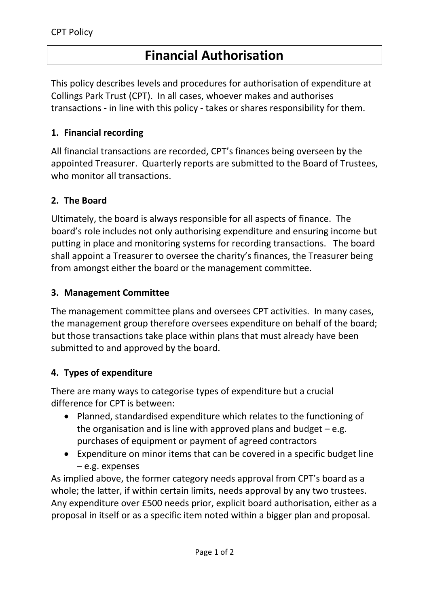# **Financial Authorisation**

This policy describes levels and procedures for authorisation of expenditure at Collings Park Trust (CPT). In all cases, whoever makes and authorises transactions - in line with this policy - takes or shares responsibility for them.

#### **1. Financial recording**

All financial transactions are recorded, CPT's finances being overseen by the appointed Treasurer. Quarterly reports are submitted to the Board of Trustees, who monitor all transactions.

#### **2. The Board**

Ultimately, the board is always responsible for all aspects of finance. The board's role includes not only authorising expenditure and ensuring income but putting in place and monitoring systems for recording transactions. The board shall appoint a Treasurer to oversee the charity's finances, the Treasurer being from amongst either the board or the management committee.

#### **3. Management Committee**

The management committee plans and oversees CPT activities. In many cases, the management group therefore oversees expenditure on behalf of the board; but those transactions take place within plans that must already have been submitted to and approved by the board.

#### **4. Types of expenditure**

There are many ways to categorise types of expenditure but a crucial difference for CPT is between:

- Planned, standardised expenditure which relates to the functioning of the organisation and is line with approved plans and budget  $-e.g.$ purchases of equipment or payment of agreed contractors
- Expenditure on minor items that can be covered in a specific budget line – e.g. expenses

As implied above, the former category needs approval from CPT's board as a whole; the latter, if within certain limits, needs approval by any two trustees. Any expenditure over £500 needs prior, explicit board authorisation, either as a proposal in itself or as a specific item noted within a bigger plan and proposal.